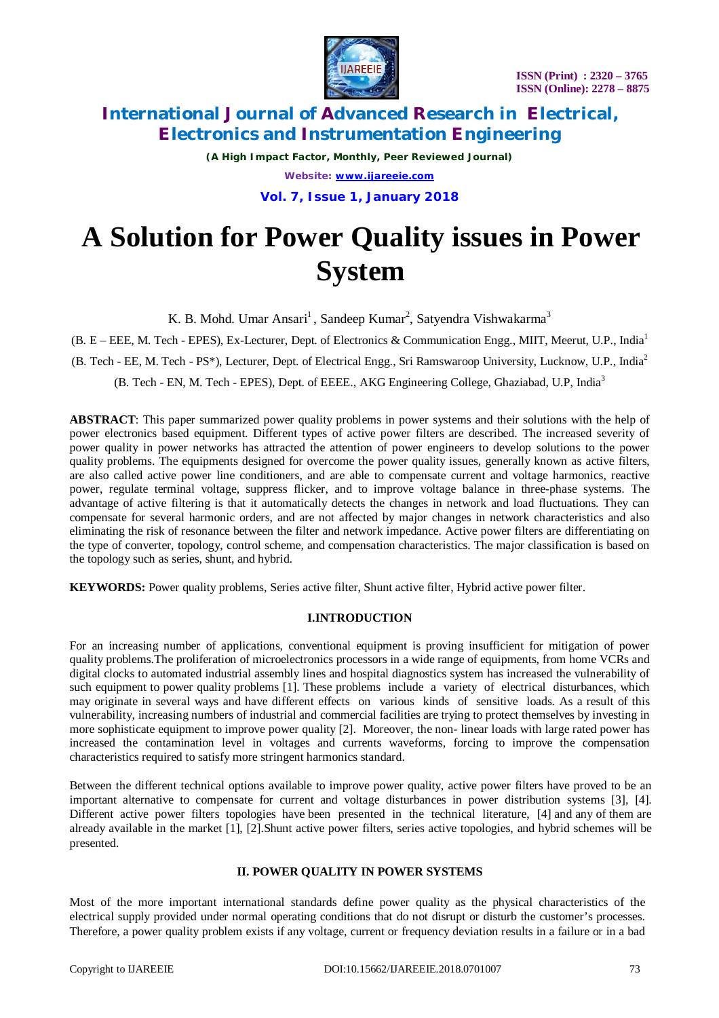

*(A High Impact Factor, Monthly, Peer Reviewed Journal) Website: [www.ijareeie.com](http://www.ijareeie.com)* **Vol. 7, Issue 1, January 2018**

# **A Solution for Power Quality issues in Power System**

K. B. Mohd. Umar Ansari<sup>1</sup>, Sandeep Kumar<sup>2</sup>, Satyendra Vishwakarma<sup>3</sup>

(B. E – EEE, M. Tech - EPES), Ex-Lecturer, Dept. of Electronics & Communication Engg., MIIT, Meerut, U.P., India<sup>1</sup> (B. Tech - EE, M. Tech - PS\*), Lecturer, Dept. of Electrical Engg., Sri Ramswaroop University, Lucknow, U.P., India<sup>2</sup> (B. Tech - EN, M. Tech - EPES), Dept. of EEEE., AKG Engineering College, Ghaziabad, U.P, India<sup>3</sup>

**ABSTRACT**: This paper summarized power quality problems in power systems and their solutions with the help of power electronics based equipment. Different types of active power filters are described. The increased severity of power quality in power networks has attracted the attention of power engineers to develop solutions to the power quality problems. The equipments designed for overcome the power quality issues, generally known as active filters, are also called active power line conditioners, and are able to compensate current and voltage harmonics, reactive power, regulate terminal voltage, suppress flicker, and to improve voltage balance in three-phase systems. The advantage of active filtering is that it automatically detects the changes in network and load fluctuations. They can compensate for several harmonic orders, and are not affected by major changes in network characteristics and also eliminating the risk of resonance between the filter and network impedance. Active power filters are differentiating on the type of converter, topology, control scheme, and compensation characteristics. The major classification is based on the topology such as series, shunt, and hybrid.

**KEYWORDS:** Power quality problems, Series active filter, Shunt active filter, Hybrid active power filter.

#### **I.INTRODUCTION**

For an increasing number of applications, conventional equipment is proving insufficient for mitigation of power quality problems.The proliferation of microelectronics processors in a wide range of equipments, from home VCRs and digital clocks to automated industrial assembly lines and hospital diagnostics system has increased the vulnerability of such equipment to power quality problems [1]. These problems include a variety of electrical disturbances, which may originate in several ways and have different effects on various kinds of sensitive loads. As a result of this vulnerability, increasing numbers of industrial and commercial facilities are trying to protect themselves by investing in more sophisticate equipment to improve power quality [2]. Moreover, the non- linear loads with large rated power has increased the contamination level in voltages and currents waveforms, forcing to improve the compensation characteristics required to satisfy more stringent harmonics standard.

Between the different technical options available to improve power quality, active power filters have proved to be an important alternative to compensate for current and voltage disturbances in power distribution systems [3], [4]. Different active power filters topologies have been presented in the technical literature, [4] and any of them are already available in the market [1], [2].Shunt active power filters, series active topologies, and hybrid schemes will be presented.

### **II. POWER QUALITY IN POWER SYSTEMS**

Most of the more important international standards define power quality as the physical characteristics of the electrical supply provided under normal operating conditions that do not disrupt or disturb the customer's processes. Therefore, a power quality problem exists if any voltage, current or frequency deviation results in a failure or in a bad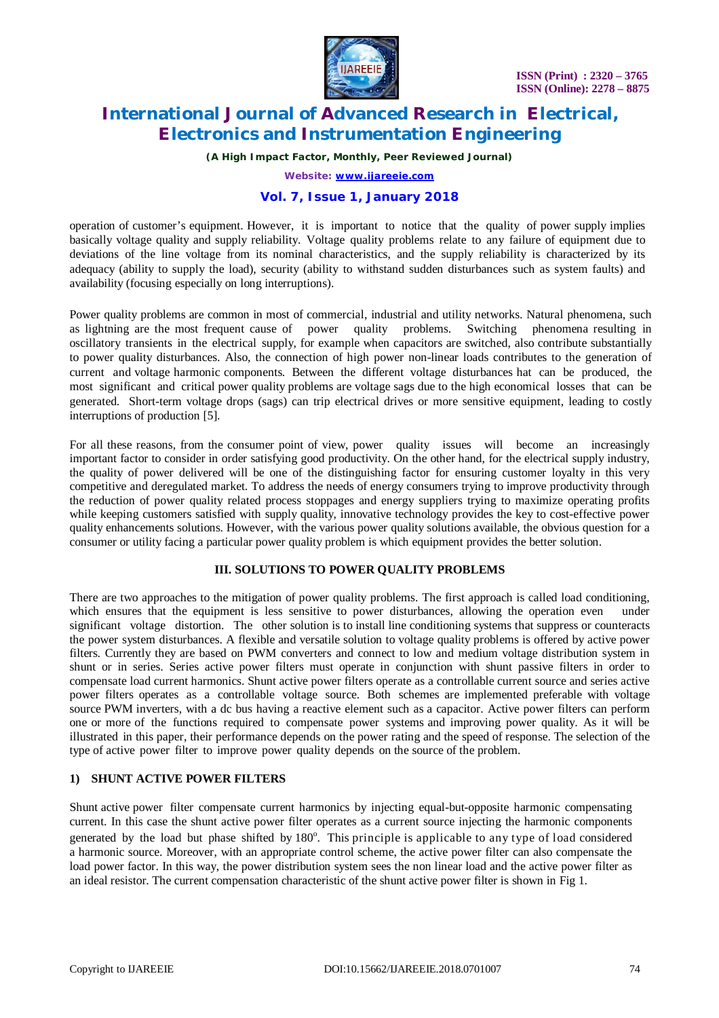

*(A High Impact Factor, Monthly, Peer Reviewed Journal)*

*Website: [www.ijareeie.com](http://www.ijareeie.com)*

### **Vol. 7, Issue 1, January 2018**

operation of customer's equipment. However, it is important to notice that the quality of power supply implies basically voltage quality and supply reliability. Voltage quality problems relate to any failure of equipment due to deviations of the line voltage from its nominal characteristics, and the supply reliability is characterized by its adequacy (ability to supply the load), security (ability to withstand sudden disturbances such as system faults) and availability (focusing especially on long interruptions).

Power quality problems are common in most of commercial, industrial and utility networks. Natural phenomena, such as lightning are the most frequent cause of power quality problems. Switching phenomena resulting in oscillatory transients in the electrical supply, for example when capacitors are switched, also contribute substantially to power quality disturbances. Also, the connection of high power non-linear loads contributes to the generation of current and voltage harmonic components. Between the different voltage disturbances hat can be produced, the most significant and critical power quality problems are voltage sags due to the high economical losses that can be generated. Short-term voltage drops (sags) can trip electrical drives or more sensitive equipment, leading to costly interruptions of production [5].

For all these reasons, from the consumer point of view, power quality issues will become an increasingly important factor to consider in order satisfying good productivity. On the other hand, for the electrical supply industry, the quality of power delivered will be one of the distinguishing factor for ensuring customer loyalty in this very competitive and deregulated market. To address the needs of energy consumers trying to improve productivity through the reduction of power quality related process stoppages and energy suppliers trying to maximize operating profits while keeping customers satisfied with supply quality, innovative technology provides the key to cost-effective power quality enhancements solutions. However, with the various power quality solutions available, the obvious question for a consumer or utility facing a particular power quality problem is which equipment provides the better solution.

#### **III. SOLUTIONS TO POWER QUALITY PROBLEMS**

There are two approaches to the mitigation of power quality problems. The first approach is called load conditioning, which ensures that the equipment is less sensitive to power disturbances, allowing the operation even under significant voltage distortion. The other solution is to install line conditioning systems that suppress or counteracts the power system disturbances. A flexible and versatile solution to voltage quality problems is offered by active power filters. Currently they are based on PWM converters and connect to low and medium voltage distribution system in shunt or in series. Series active power filters must operate in conjunction with shunt passive filters in order to compensate load current harmonics. Shunt active power filters operate as a controllable current source and series active power filters operates as a controllable voltage source. Both schemes are implemented preferable with voltage source PWM inverters, with a dc bus having a reactive element such as a capacitor. Active power filters can perform one or more of the functions required to compensate power systems and improving power quality. As it will be illustrated in this paper, their performance depends on the power rating and the speed of response. The selection of the type of active power filter to improve power quality depends on the source of the problem.

#### **1) SHUNT ACTIVE POWER FILTERS**

Shunt active power filter compensate current harmonics by injecting equal-but-opposite harmonic compensating current. In this case the shunt active power filter operates as a current source injecting the harmonic components generated by the load but phase shifted by 180°. This principle is applicable to any type of load considered a harmonic source. Moreover, with an appropriate control scheme, the active power filter can also compensate the load power factor. In this way, the power distribution system sees the non linear load and the active power filter as an ideal resistor. The current compensation characteristic of the shunt active power filter is shown in Fig 1.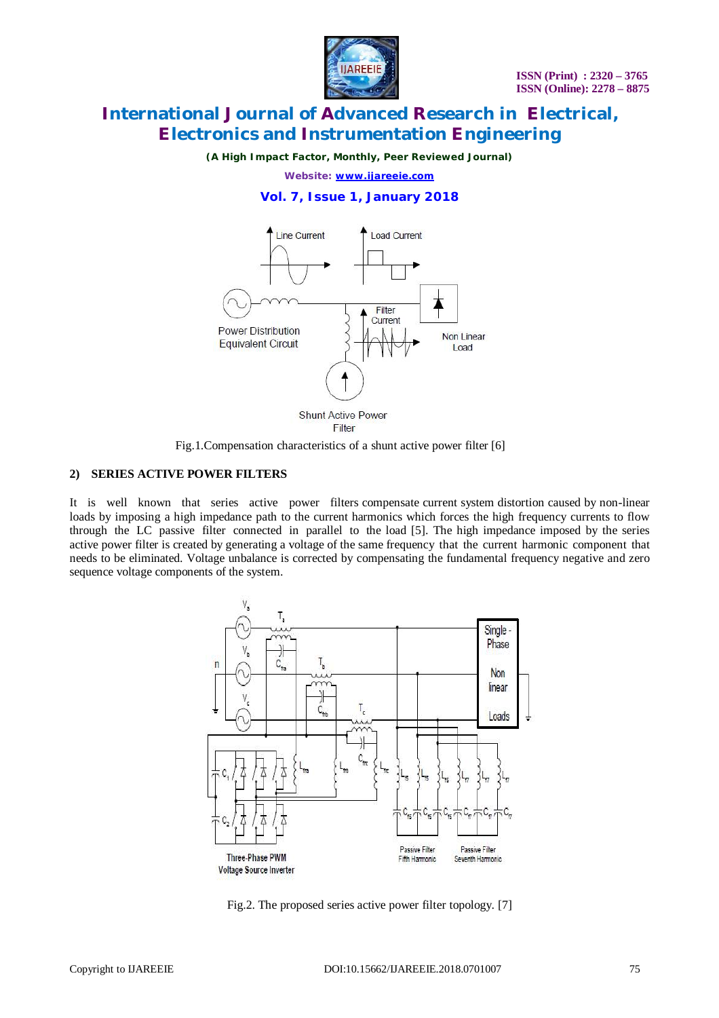

*(A High Impact Factor, Monthly, Peer Reviewed Journal)*

*Website: [www.ijareeie.com](http://www.ijareeie.com)*

### **Vol. 7, Issue 1, January 2018**



Fig.1.Compensation characteristics of a shunt active power filter [6]

#### **2) SERIES ACTIVE POWER FILTERS**

It is well known that series active power filters compensate current system distortion caused by non-linear loads by imposing a high impedance path to the current harmonics which forces the high frequency currents to flow through the LC passive filter connected in parallel to the load [5]. The high impedance imposed by the series active power filter is created by generating a voltage of the same frequency that the current harmonic component that needs to be eliminated. Voltage unbalance is corrected by compensating the fundamental frequency negative and zero sequence voltage components of the system.



Fig.2. The proposed series active power filter topology. [7]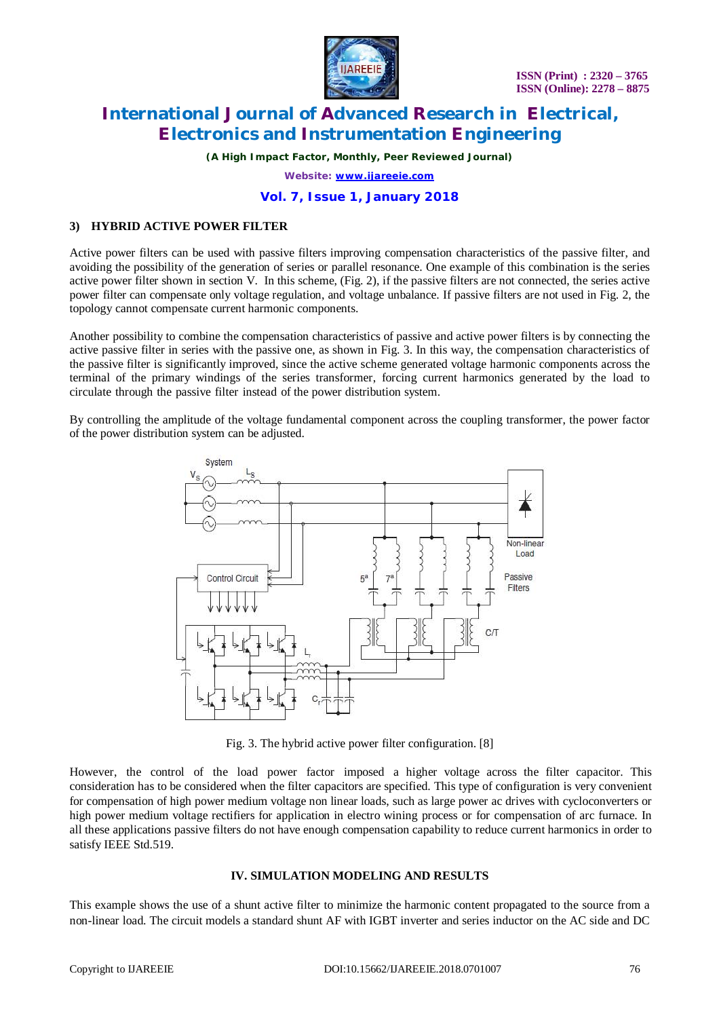

*(A High Impact Factor, Monthly, Peer Reviewed Journal)*

*Website: [www.ijareeie.com](http://www.ijareeie.com)*

### **Vol. 7, Issue 1, January 2018**

### **3) HYBRID ACTIVE POWER FILTER**

Active power filters can be used with passive filters improving compensation characteristics of the passive filter, and avoiding the possibility of the generation of series or parallel resonance. One example of this combination is the series active power filter shown in section V. In this scheme, (Fig. 2), if the passive filters are not connected, the series active power filter can compensate only voltage regulation, and voltage unbalance. If passive filters are not used in Fig. 2, the topology cannot compensate current harmonic components.

Another possibility to combine the compensation characteristics of passive and active power filters is by connecting the active passive filter in series with the passive one, as shown in Fig. 3. In this way, the compensation characteristics of the passive filter is significantly improved, since the active scheme generated voltage harmonic components across the terminal of the primary windings of the series transformer, forcing current harmonics generated by the load to circulate through the passive filter instead of the power distribution system.

By controlling the amplitude of the voltage fundamental component across the coupling transformer, the power factor of the power distribution system can be adjusted.



Fig. 3. The hybrid active power filter configuration. [8]

However, the control of the load power factor imposed a higher voltage across the filter capacitor. This consideration has to be considered when the filter capacitors are specified. This type of configuration is very convenient for compensation of high power medium voltage non linear loads, such as large power ac drives with cycloconverters or high power medium voltage rectifiers for application in electro wining process or for compensation of arc furnace. In all these applications passive filters do not have enough compensation capability to reduce current harmonics in order to satisfy IEEE Std.519.

#### **IV. SIMULATION MODELING AND RESULTS**

This example shows the use of a shunt active filter to minimize the harmonic content propagated to the source from a non-linear load. The circuit models a standard shunt AF with IGBT inverter and series inductor on the AC side and DC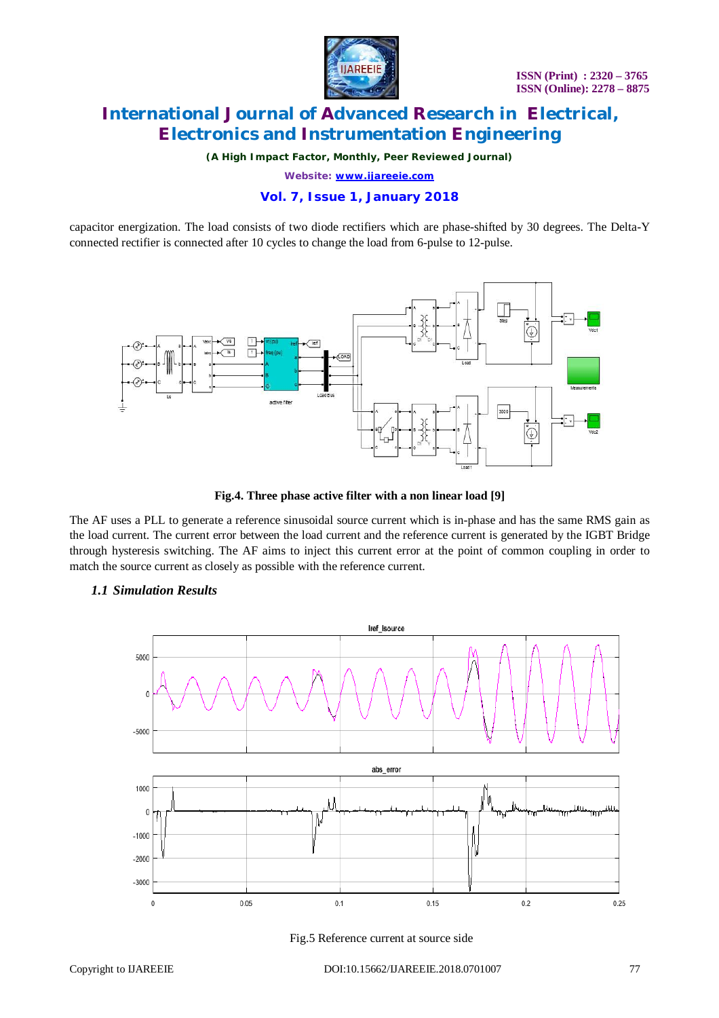

*(A High Impact Factor, Monthly, Peer Reviewed Journal)*

*Website: [www.ijareeie.com](http://www.ijareeie.com)*

### **Vol. 7, Issue 1, January 2018**

capacitor energization. The load consists of two diode rectifiers which are phase-shifted by 30 degrees. The Delta-Y connected rectifier is connected after 10 cycles to change the load from 6-pulse to 12-pulse.



#### **Fig.4. Three phase active filter with a non linear load [9]**

The AF uses a PLL to generate a reference sinusoidal source current which is in-phase and has the same RMS gain as the load current. The current error between the load current and the reference current is generated by the IGBT Bridge through hysteresis switching. The AF aims to inject this current error at the point of common coupling in order to match the source current as closely as possible with the reference current.



### *1.1 Simulation Results*

Fig.5 Reference current at source side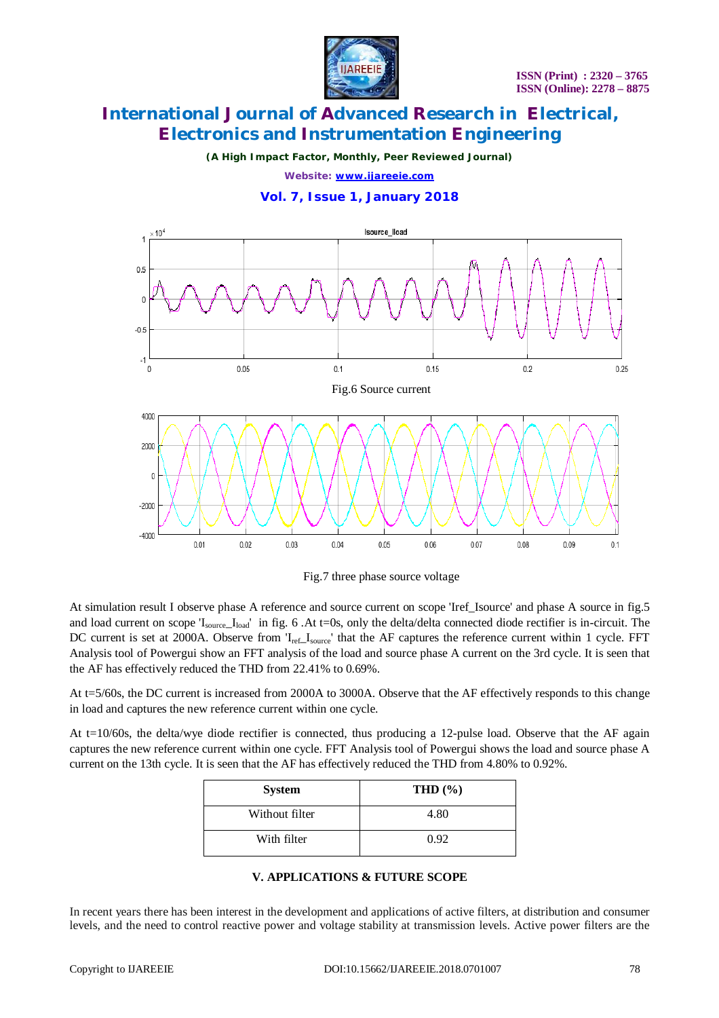

*(A High Impact Factor, Monthly, Peer Reviewed Journal)*

*Website: [www.ijareeie.com](http://www.ijareeie.com)*

#### **Vol. 7, Issue 1, January 2018**



Fig.7 three phase source voltage

At simulation result I observe phase A reference and source current on scope 'Iref\_Isource' and phase A source in fig.5 and load current on scope 'I<sub>source</sub>\_I<sub>load</sub>' in fig. 6 .At t=0s, only the delta/delta connected diode rectifier is in-circuit. The DC current is set at 2000A. Observe from 'I<sub>ref</sub>\_I<sub>source</sub>' that the AF captures the reference current within 1 cycle. FFT Analysis tool of Powergui show an FFT analysis of the load and source phase A current on the 3rd cycle. It is seen that the AF has effectively reduced the THD from 22.41% to 0.69%.

At t=5/60s, the DC current is increased from 2000A to 3000A. Observe that the AF effectively responds to this change in load and captures the new reference current within one cycle.

At  $t=10/60s$ , the delta/wye diode rectifier is connected, thus producing a 12-pulse load. Observe that the AF again captures the new reference current within one cycle. FFT Analysis tool of Powergui shows the load and source phase A current on the 13th cycle. It is seen that the AF has effectively reduced the THD from 4.80% to 0.92%.

| <b>System</b>  | THD $(\% )$ |
|----------------|-------------|
| Without filter | 4.80        |
| With filter    | 0.92        |

#### **V. APPLICATIONS & FUTURE SCOPE**

In recent years there has been interest in the development and applications of active filters, at distribution and consumer levels, and the need to control reactive power and voltage stability at transmission levels. Active power filters are the